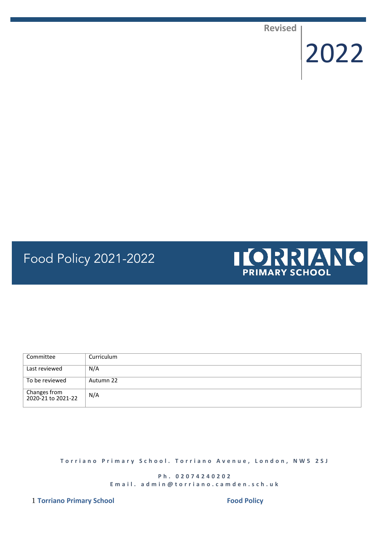**Revised**

2022

# Food Policy 2021-2022



| Committee                          | Curriculum |
|------------------------------------|------------|
| Last reviewed                      | N/A        |
| To be reviewed                     | Autumn 22  |
| Changes from<br>2020-21 to 2021-22 | N/A        |

**T o r r i a n o P r i m a r y S c h o o l . T o r r i a n o A v e n u e , L o n d o n , N W 5 2 S J**

**P h . 0 2 0 7 4 2 4 0 2 0 2 E m a i l . a d m i n @ t o r r i a n o . c a m d e n . s c h . u k**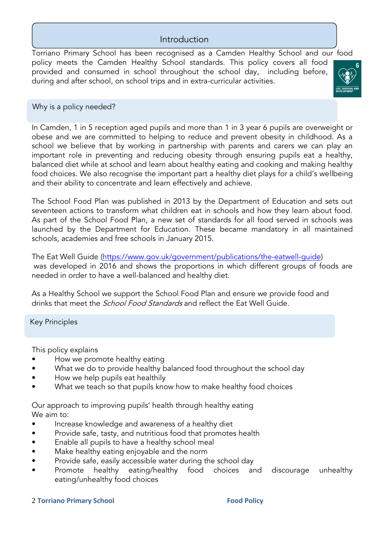## Introduction

Torriano Primary School has been recognised as a Camden Healthy School and our food policy meets the Camden Healthy School standards. This policy covers all food provided and consumed in school throughout the school day, including before, during and after school, on school trips and in extra-curricular activities.



## Why is a policy needed?

In Camden, 1 in 5 reception aged pupils and more than 1 in 3 year 6 pupils are overweight or obese and we are committed to helping to reduce and prevent obesity in childhood. As a school we believe that by working in partnership with parents and carers we can play an important role in preventing and reducing obesity through ensuring pupils eat a healthy, balanced diet while at school and learn about healthy eating and cooking and making healthy food choices. We also recognise the important part a healthy diet plays for a child's wellbeing and their ability to concentrate and learn effectively and achieve.

The School Food Plan was published in 2013 by the Department of Education and sets out seventeen actions to transform what children eat in schools and how they learn about food. As part of the School Food Plan, a new set of standards for all food served in schools was launched by the Department for Education. These became mandatory in all maintained schools, academies and free schools in January 2015.

The Eat Well Guide [\(https://www.gov.uk/government/publications/the-eatwell-guide\)](https://www.gov.uk/government/publications/the-eatwell-guide) was developed in 2016 and shows the proportions in which different groups of foods are needed in order to have a well-balanced and healthy diet.

As a Healthy School we support the School Food Plan and ensure we provide food and drinks that meet the *School Food Standards* and reflect the Eat Well Guide.

Key Principles

This policy explains

- How we promote healthy eating
- What we do to provide healthy balanced food throughout the school day
- How we help pupils eat healthily
- What we teach so that pupils know how to make healthy food choices

Our approach to improving pupils' health through healthy eating We aim to:

- Increase knowledge and awareness of a healthy diet
- Provide safe, tasty, and nutritious food that promotes health
- Enable all pupils to have a healthy school meal
- Make healthy eating enjoyable and the norm
- Provide safe, easily accessible water during the school day
- Promote healthy eating/healthy food choices and discourage unhealthy eating/unhealthy food choices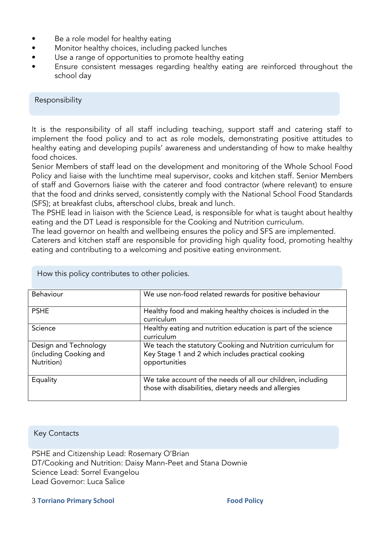- Be a role model for healthy eating
- Monitor healthy choices, including packed lunches
- Use a range of opportunities to promote healthy eating
- Ensure consistent messages regarding healthy eating are reinforced throughout the school day

Responsibility

It is the responsibility of all staff including teaching, support staff and catering staff to implement the food policy and to act as role models, demonstrating positive attitudes to healthy eating and developing pupils' awareness and understanding of how to make healthy food choices.

Senior Members of staff lead on the development and monitoring of the Whole School Food Policy and liaise with the lunchtime meal supervisor, cooks and kitchen staff. Senior Members of staff and Governors liaise with the caterer and food contractor (where relevant) to ensure that the food and drinks served, consistently comply with the National School Food Standards (SFS); at breakfast clubs, afterschool clubs, break and lunch.

The PSHE lead in liaison with the Science Lead, is responsible for what is taught about healthy eating and the DT Lead is responsible for the Cooking and Nutrition curriculum.

The lead governor on health and wellbeing ensures the policy and SFS are implemented.

Caterers and kitchen staff are responsible for providing high quality food, promoting healthy eating and contributing to a welcoming and positive eating environment.

| Behaviour                                                     | We use non-food related rewards for positive behaviour                                                                             |
|---------------------------------------------------------------|------------------------------------------------------------------------------------------------------------------------------------|
| <b>PSHE</b>                                                   | Healthy food and making healthy choices is included in the<br>curriculum                                                           |
| Science                                                       | Healthy eating and nutrition education is part of the science<br>curriculum                                                        |
| Design and Technology<br>(including Cooking and<br>Nutrition) | We teach the statutory Cooking and Nutrition curriculum for<br>Key Stage 1 and 2 which includes practical cooking<br>opportunities |
| Equality                                                      | We take account of the needs of all our children, including<br>those with disabilities, dietary needs and allergies                |

How this policy contributes to other policies.

#### Key Contacts

PSHE and Citizenship Lead: Rosemary O'Brian DT/Cooking and Nutrition: Daisy Mann-Peet and Stana Downie Science Lead: Sorrel Evangelou Lead Governor: Luca Salice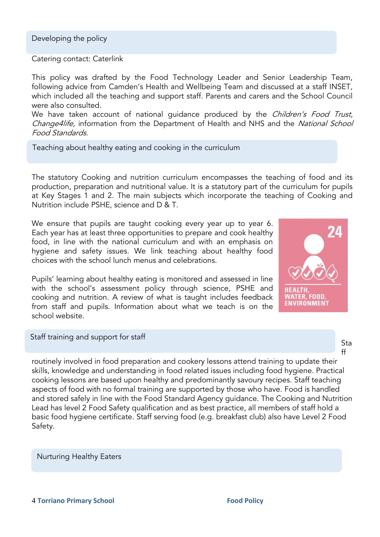Catering contact: Caterlink

This policy was drafted by the Food Technology Leader and Senior Leadership Team, following advice from Camden's Health and Wellbeing Team and discussed at a staff INSET, which included all the teaching and support staff. Parents and carers and the School Council were also consulted.

We have taken account of national quidance produced by the Children's Food Trust, Change4life, information from the Department of Health and NHS and the National School Food Standards.

Teaching about healthy eating and cooking in the curriculum

The statutory Cooking and nutrition curriculum encompasses the teaching of food and its production, preparation and nutritional value. It is a statutory part of the curriculum for pupils at Key Stages 1 and 2. The main subjects which incorporate the teaching of Cooking and Nutrition include PSHE, science and D & T.

We ensure that pupils are taught cooking every year up to year 6. Each year has at least three opportunities to prepare and cook healthy food, in line with the national curriculum and with an emphasis on hygiene and safety issues. We link teaching about healthy food choices with the school lunch menus and celebrations.

Pupils' learning about healthy eating is monitored and assessed in line with the school's assessment policy through science, PSHE and cooking and nutrition. A review of what is taught includes feedback from staff and pupils. Information about what we teach is on the school website.



Staff training and support for staff

routinely involved in food preparation and cookery lessons attend training to update their skills, knowledge and understanding in food related issues including food hygiene. Practical cooking lessons are based upon healthy and predominantly savoury recipes. Staff teaching aspects of food with no formal training are supported by those who have. Food is handled and stored safely in line with the Food Standard Agency guidance. The Cooking and Nutrition Lead has level 2 Food Safety qualification and as best practice, all members of staff hold a basic food hygiene certificate. Staff serving food (e.g. breakfast club) also have Level 2 Food Safety.

## Nurturing Healthy Eaters

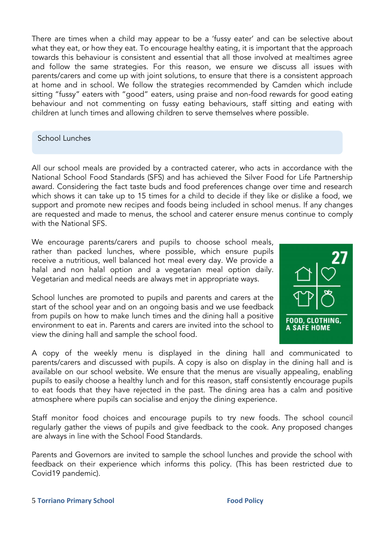There are times when a child may appear to be a 'fussy eater' and can be selective about what they eat, or how they eat. To encourage healthy eating, it is important that the approach towards this behaviour is consistent and essential that all those involved at mealtimes agree and follow the same strategies. For this reason, we ensure we discuss all issues with parents/carers and come up with joint solutions, to ensure that there is a consistent approach at home and in school. We follow the strategies recommended by Camden which include sitting "fussy" eaters with "good" eaters, using praise and non-food rewards for good eating behaviour and not commenting on fussy eating behaviours, staff sitting and eating with children at lunch times and allowing children to serve themselves where possible.

## School Lunches

All our school meals are provided by a contracted caterer, who acts in accordance with the National School Food Standards (SFS) and has achieved the Silver Food for Life Partnership award. Considering the fact taste buds and food preferences change over time and research which shows it can take up to 15 times for a child to decide if they like or dislike a food, we support and promote new recipes and foods being included in school menus. If any changes are requested and made to menus, the school and caterer ensure menus continue to comply with the National SFS.

We encourage parents/carers and pupils to choose school meals, rather than packed lunches, where possible, which ensure pupils receive a nutritious, well balanced hot meal every day. We provide a halal and non halal option and a vegetarian meal option daily. Vegetarian and medical needs are always met in appropriate ways.

School lunches are promoted to pupils and parents and carers at the start of the school year and on an ongoing basis and we use feedback from pupils on how to make lunch times and the dining hall a positive environment to eat in. Parents and carers are invited into the school to view the dining hall and sample the school food.



A copy of the weekly menu is displayed in the dining hall and communicated to parents/carers and discussed with pupils. A copy is also on display in the dining hall and is available on our school website. We ensure that the menus are visually appealing, enabling pupils to easily choose a healthy lunch and for this reason, staff consistently encourage pupils to eat foods that they have rejected in the past. The dining area has a calm and positive atmosphere where pupils can socialise and enjoy the dining experience.

Staff monitor food choices and encourage pupils to try new foods. The school council regularly gather the views of pupils and give feedback to the cook. Any proposed changes are always in line with the School Food Standards.

Parents and Governors are invited to sample the school lunches and provide the school with feedback on their experience which informs this policy. (This has been restricted due to Covid19 pandemic).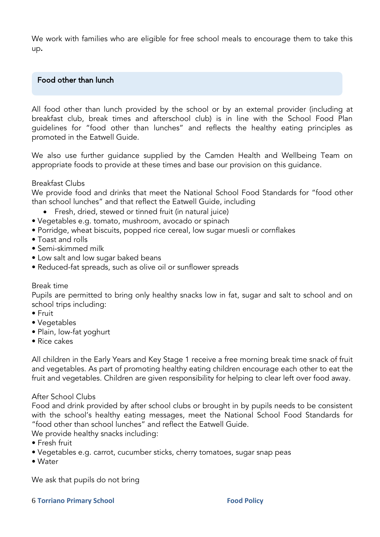We work with families who are eligible for free school meals to encourage them to take this up**.**

## Food other than lunch

All food other than lunch provided by the school or by an external provider (including at breakfast club, break times and afterschool club) is in line with the School Food Plan guidelines for "food other than lunches" and reflects the healthy eating principles as promoted in the Eatwell Guide.

We also use further guidance supplied by the Camden Health and Wellbeing Team on appropriate foods to provide at these times and base our provision on this guidance.

#### Breakfast Clubs

We provide food and drinks that meet the National School Food Standards for "food other than school lunches" and that reflect the Eatwell Guide, including

- Fresh, dried, stewed or tinned fruit (in natural juice)
- Vegetables e.g. tomato, mushroom, avocado or spinach
- Porridge, wheat biscuits, popped rice cereal, low sugar muesli or cornflakes
- Toast and rolls
- Semi-skimmed milk
- Low salt and low sugar baked beans
- Reduced-fat spreads, such as olive oil or sunflower spreads

#### Break time

Pupils are permitted to bring only healthy snacks low in fat, sugar and salt to school and on school trips including:

- Fruit
- Vegetables
- Plain, low-fat yoghurt
- Rice cakes

All children in the Early Years and Key Stage 1 receive a free morning break time snack of fruit and vegetables. As part of promoting healthy eating children encourage each other to eat the fruit and vegetables. Children are given responsibility for helping to clear left over food away.

#### After School Clubs

Food and drink provided by after school clubs or brought in by pupils needs to be consistent with the school's healthy eating messages, meet the National School Food Standards for "food other than school lunches" and reflect the Eatwell Guide.

We provide healthy snacks including:

- Fresh fruit
- Vegetables e.g. carrot, cucumber sticks, cherry tomatoes, sugar snap peas
- Water

We ask that pupils do not bring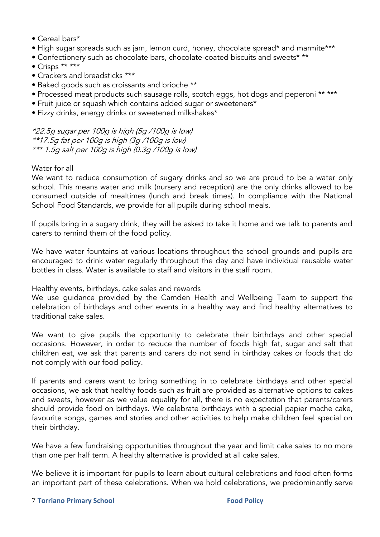- Cereal bars\*
- High sugar spreads such as jam, lemon curd, honey, chocolate spread\* and marmite\*\*\*
- Confectionery such as chocolate bars, chocolate-coated biscuits and sweets\* \*\*
- Crisps \*\* \*\*\*
- Crackers and breadsticks \*\*\*
- Baked goods such as croissants and brioche \*\*
- Processed meat products such sausage rolls, scotch eggs, hot dogs and peperoni \*\* \*\*\*
- Fruit juice or squash which contains added sugar or sweeteners\*
- Fizzy drinks, energy drinks or sweetened milkshakes\*

\*22.5g sugar per 100g is high (5g /100g is low) \*\*17.5g fat per 100g is high (3g /100g is low) \*\*\* 1.5g salt per 100g is high (0.3g /100g is low)

## Water for all

We want to reduce consumption of sugary drinks and so we are proud to be a water only school. This means water and milk (nursery and reception) are the only drinks allowed to be consumed outside of mealtimes (lunch and break times). In compliance with the National School Food Standards, we provide for all pupils during school meals.

If pupils bring in a sugary drink, they will be asked to take it home and we talk to parents and carers to remind them of the food policy.

We have water fountains at various locations throughout the school grounds and pupils are encouraged to drink water regularly throughout the day and have individual reusable water bottles in class. Water is available to staff and visitors in the staff room.

Healthy events, birthdays, cake sales and rewards

We use guidance provided by the Camden Health and Wellbeing Team to support the celebration of birthdays and other events in a healthy way and find healthy alternatives to traditional cake sales.

We want to give pupils the opportunity to celebrate their birthdays and other special occasions. However, in order to reduce the number of foods high fat, sugar and salt that children eat, we ask that parents and carers do not send in birthday cakes or foods that do not comply with our food policy.

If parents and carers want to bring something in to celebrate birthdays and other special occasions, we ask that healthy foods such as fruit are provided as alternative options to cakes and sweets, however as we value equality for all, there is no expectation that parents/carers should provide food on birthdays. We celebrate birthdays with a special papier mache cake, favourite songs, games and stories and other activities to help make children feel special on their birthday.

We have a few fundraising opportunities throughout the year and limit cake sales to no more than one per half term. A healthy alternative is provided at all cake sales.

We believe it is important for pupils to learn about cultural celebrations and food often forms an important part of these celebrations. When we hold celebrations, we predominantly serve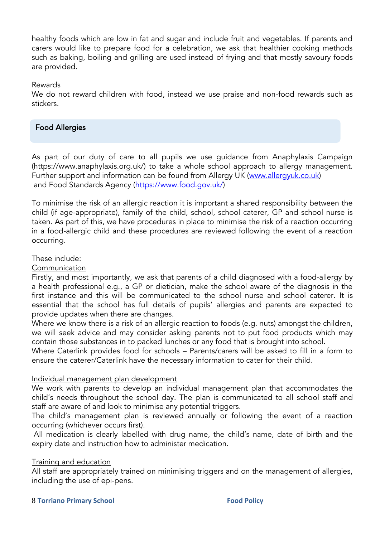healthy foods which are low in fat and sugar and include fruit and vegetables. If parents and carers would like to prepare food for a celebration, we ask that healthier cooking methods such as baking, boiling and grilling are used instead of frying and that mostly savoury foods are provided.

#### Rewards

We do not reward children with food, instead we use praise and non-food rewards such as stickers.

## Food Allergies

As part of our duty of care to all pupils we use guidance from Anaphylaxis Campaign (https://www.anaphylaxis.org.uk/) to take a whole school approach to allergy management. Further support and information can be found from Allergy UK [\(www.allergyuk.co.uk\)](http://www.allergyuk.co.uk/) and Food Standards Agency [\(https://www.food.gov.uk/\)](https://www.food.gov.uk/)

To minimise the risk of an allergic reaction it is important a shared responsibility between the child (if age-appropriate), family of the child, school, school caterer, GP and school nurse is taken. As part of this, we have procedures in place to minimise the risk of a reaction occurring in a food-allergic child and these procedures are reviewed following the event of a reaction occurring.

#### These include:

#### Communication

Firstly, and most importantly, we ask that parents of a child diagnosed with a food-allergy by a health professional e.g., a GP or dietician, make the school aware of the diagnosis in the first instance and this will be communicated to the school nurse and school caterer. It is essential that the school has full details of pupils' allergies and parents are expected to provide updates when there are changes.

Where we know there is a risk of an allergic reaction to foods (e.g. nuts) amongst the children, we will seek advice and may consider asking parents not to put food products which may contain those substances in to packed lunches or any food that is brought into school.

Where Caterlink provides food for schools – Parents/carers will be asked to fill in a form to ensure the caterer/Caterlink have the necessary information to cater for their child.

#### Individual management plan development

We work with parents to develop an individual management plan that accommodates the child's needs throughout the school day. The plan is communicated to all school staff and staff are aware of and look to minimise any potential triggers.

The child's management plan is reviewed annually or following the event of a reaction occurring (whichever occurs first).

All medication is clearly labelled with drug name, the child's name, date of birth and the expiry date and instruction how to administer medication.

#### Training and education

All staff are appropriately trained on minimising triggers and on the management of allergies, including the use of epi-pens.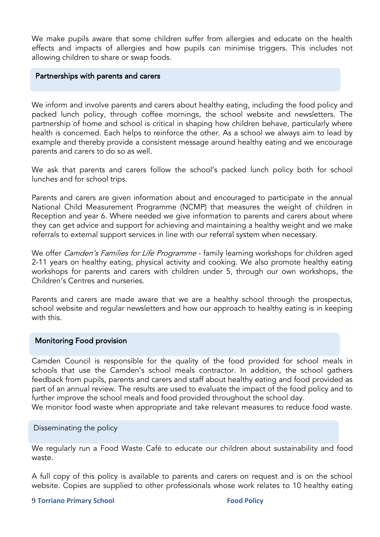We make pupils aware that some children suffer from allergies and educate on the health effects and impacts of allergies and how pupils can minimise triggers. This includes not allowing children to share or swap foods.

#### Partnerships with parents and carers

We inform and involve parents and carers about healthy eating, including the food policy and packed lunch policy, through coffee mornings, the school website and newsletters. The partnership of home and school is critical in shaping how children behave, particularly where health is concerned. Each helps to reinforce the other. As a school we always aim to lead by example and thereby provide a consistent message around healthy eating and we encourage parents and carers to do so as well.

We ask that parents and carers follow the school's packed lunch policy both for school lunches and for school trips.

Parents and carers are given information about and encouraged to participate in the annual National Child Measurement Programme (NCMP) that measures the weight of children in Reception and year 6. Where needed we give information to parents and carers about where they can get advice and support for achieving and maintaining a healthy weight and we make referrals to external support services in line with our referral system when necessary.

We offer Camden's Families for Life Programme - family learning workshops for children aged 2-11 years on healthy eating, physical activity and cooking. We also promote healthy eating workshops for parents and carers with children under 5, through our own workshops, the Children's Centres and nurseries.

Parents and carers are made aware that we are a healthy school through the prospectus, school website and regular newsletters and how our approach to healthy eating is in keeping with this.

#### Monitoring Food provision

Camden Council is responsible for the quality of the food provided for school meals in schools that use the Camden's school meals contractor. In addition, the school gathers feedback from pupils, parents and carers and staff about healthy eating and food provided as part of an annual review. The results are used to evaluate the impact of the food policy and to further improve the school meals and food provided throughout the school day.

We monitor food waste when appropriate and take relevant measures to reduce food waste.

Disseminating the policy

We regularly run a Food Waste Café to educate our children about sustainability and food waste.

A full copy of this policy is available to parents and carers on request and is on the school website. Copies are supplied to other professionals whose work relates to 10 healthy eating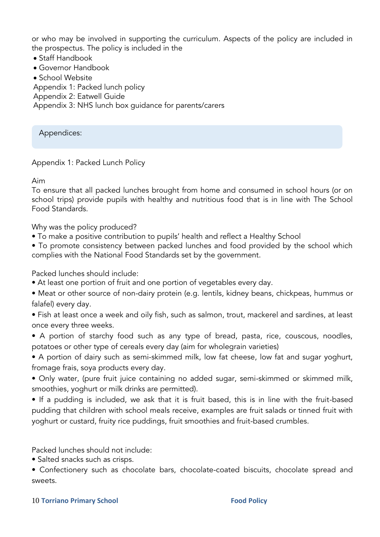or who may be involved in supporting the curriculum. Aspects of the policy are included in the prospectus. The policy is included in the

- Staff Handbook
- Governor Handbook
- School Website

Appendix 1: Packed lunch policy

Appendix 2: Eatwell Guide

Appendix 3: NHS lunch box guidance for parents/carers

Appendices:

## Appendix 1: Packed Lunch Policy

Aim

To ensure that all packed lunches brought from home and consumed in school hours (or on school trips) provide pupils with healthy and nutritious food that is in line with The School Food Standards.

Why was the policy produced?

- To make a positive contribution to pupils' health and reflect a Healthy School
- To promote consistency between packed lunches and food provided by the school which complies with the National Food Standards set by the government.

Packed lunches should include:

- At least one portion of fruit and one portion of vegetables every day.
- Meat or other source of non-dairy protein (e.g. lentils, kidney beans, chickpeas, hummus or falafel) every day.

• Fish at least once a week and oily fish, such as salmon, trout, mackerel and sardines, at least once every three weeks.

• A portion of starchy food such as any type of bread, pasta, rice, couscous, noodles, potatoes or other type of cereals every day (aim for wholegrain varieties)

• A portion of dairy such as semi-skimmed milk, low fat cheese, low fat and sugar yoghurt, fromage frais, soya products every day.

• Only water, (pure fruit juice containing no added sugar, semi-skimmed or skimmed milk, smoothies, yoghurt or milk drinks are permitted).

• If a pudding is included, we ask that it is fruit based, this is in line with the fruit-based pudding that children with school meals receive, examples are fruit salads or tinned fruit with yoghurt or custard, fruity rice puddings, fruit smoothies and fruit-based crumbles.

Packed lunches should not include:

• Salted snacks such as crisps.

• Confectionery such as chocolate bars, chocolate-coated biscuits, chocolate spread and sweets.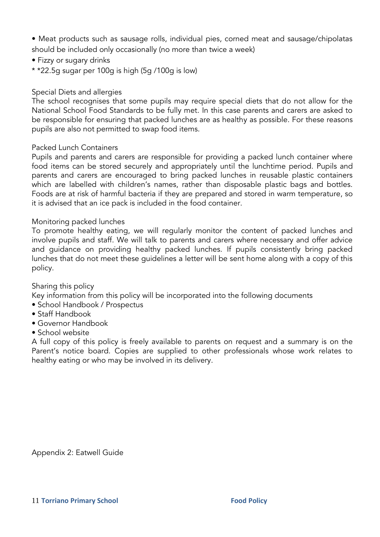• Meat products such as sausage rolls, individual pies, corned meat and sausage/chipolatas should be included only occasionally (no more than twice a week)

- Fizzy or sugary drinks
- \* \*22.5g sugar per 100g is high (5g /100g is low)

## Special Diets and allergies

The school recognises that some pupils may require special diets that do not allow for the National School Food Standards to be fully met. In this case parents and carers are asked to be responsible for ensuring that packed lunches are as healthy as possible. For these reasons pupils are also not permitted to swap food items.

## Packed Lunch Containers

Pupils and parents and carers are responsible for providing a packed lunch container where food items can be stored securely and appropriately until the lunchtime period. Pupils and parents and carers are encouraged to bring packed lunches in reusable plastic containers which are labelled with children's names, rather than disposable plastic bags and bottles. Foods are at risk of harmful bacteria if they are prepared and stored in warm temperature, so it is advised that an ice pack is included in the food container.

## Monitoring packed lunches

To promote healthy eating, we will regularly monitor the content of packed lunches and involve pupils and staff. We will talk to parents and carers where necessary and offer advice and guidance on providing healthy packed lunches. If pupils consistently bring packed lunches that do not meet these guidelines a letter will be sent home along with a copy of this policy.

## Sharing this policy

Key information from this policy will be incorporated into the following documents

- School Handbook / Prospectus
- Staff Handbook
- Governor Handbook
- School website

A full copy of this policy is freely available to parents on request and a summary is on the Parent's notice board. Copies are supplied to other professionals whose work relates to healthy eating or who may be involved in its delivery.

Appendix 2: Eatwell Guide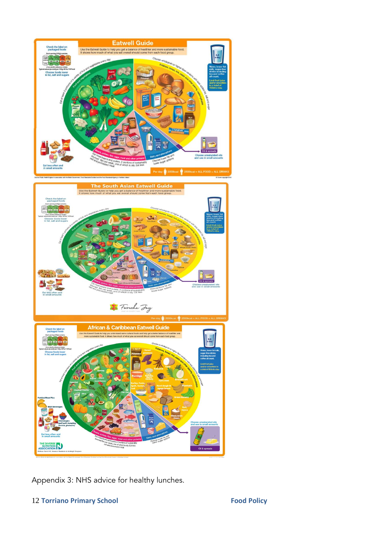

Appendix 3: NHS advice for healthy lunches.